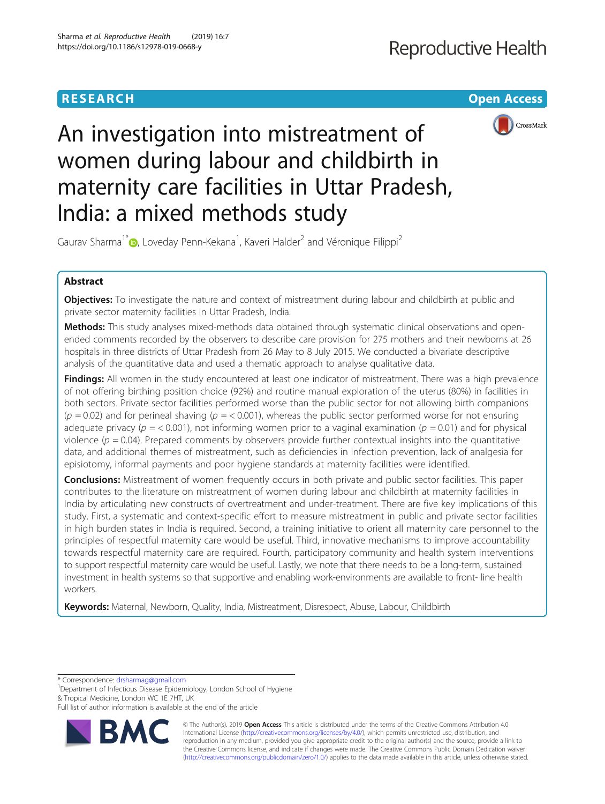# **RESEARCH CHE Open Access**



An investigation into mistreatment of women during labour and childbirth in maternity care facilities in Uttar Pradesh, India: a mixed methods study

Gaurav Sharma<sup>1\*</sup> D[,](http://orcid.org/0000-0002-8951-3245) Loveday Penn-Kekana<sup>1</sup>, Kaveri Halder<sup>2</sup> and Véronique Filippi<sup>2</sup>

## Abstract

**Objectives:** To investigate the nature and context of mistreatment during labour and childbirth at public and private sector maternity facilities in Uttar Pradesh, India.

Methods: This study analyses mixed-methods data obtained through systematic clinical observations and openended comments recorded by the observers to describe care provision for 275 mothers and their newborns at 26 hospitals in three districts of Uttar Pradesh from 26 May to 8 July 2015. We conducted a bivariate descriptive analysis of the quantitative data and used a thematic approach to analyse qualitative data.

**Findings:** All women in the study encountered at least one indicator of mistreatment. There was a high prevalence of not offering birthing position choice (92%) and routine manual exploration of the uterus (80%) in facilities in both sectors. Private sector facilities performed worse than the public sector for not allowing birth companions  $(p = 0.02)$  and for perineal shaving  $(p = 0.001)$ , whereas the public sector performed worse for not ensuring adequate privacy ( $p = 0.001$ ), not informing women prior to a vaginal examination ( $p = 0.01$ ) and for physical violence ( $p = 0.04$ ). Prepared comments by observers provide further contextual insights into the quantitative data, and additional themes of mistreatment, such as deficiencies in infection prevention, lack of analgesia for episiotomy, informal payments and poor hygiene standards at maternity facilities were identified.

**Conclusions:** Mistreatment of women frequently occurs in both private and public sector facilities. This paper contributes to the literature on mistreatment of women during labour and childbirth at maternity facilities in India by articulating new constructs of overtreatment and under-treatment. There are five key implications of this study. First, a systematic and context-specific effort to measure mistreatment in public and private sector facilities in high burden states in India is required. Second, a training initiative to orient all maternity care personnel to the principles of respectful maternity care would be useful. Third, innovative mechanisms to improve accountability towards respectful maternity care are required. Fourth, participatory community and health system interventions to support respectful maternity care would be useful. Lastly, we note that there needs to be a long-term, sustained investment in health systems so that supportive and enabling work-environments are available to front- line health workers.

Keywords: Maternal, Newborn, Quality, India, Mistreatment, Disrespect, Abuse, Labour, Childbirth

\* Correspondence: [drsharmag@gmail.com](mailto:drsharmag@gmail.com) <sup>1</sup>

<sup>1</sup>Department of Infectious Disease Epidemiology, London School of Hygiene & Tropical Medicine, London WC 1E 7HT, UK

Full list of author information is available at the end of the article



© The Author(s). 2019 Open Access This article is distributed under the terms of the Creative Commons Attribution 4.0 International License [\(http://creativecommons.org/licenses/by/4.0/](http://creativecommons.org/licenses/by/4.0/)), which permits unrestricted use, distribution, and reproduction in any medium, provided you give appropriate credit to the original author(s) and the source, provide a link to the Creative Commons license, and indicate if changes were made. The Creative Commons Public Domain Dedication waiver [\(http://creativecommons.org/publicdomain/zero/1.0/](http://creativecommons.org/publicdomain/zero/1.0/)) applies to the data made available in this article, unless otherwise stated.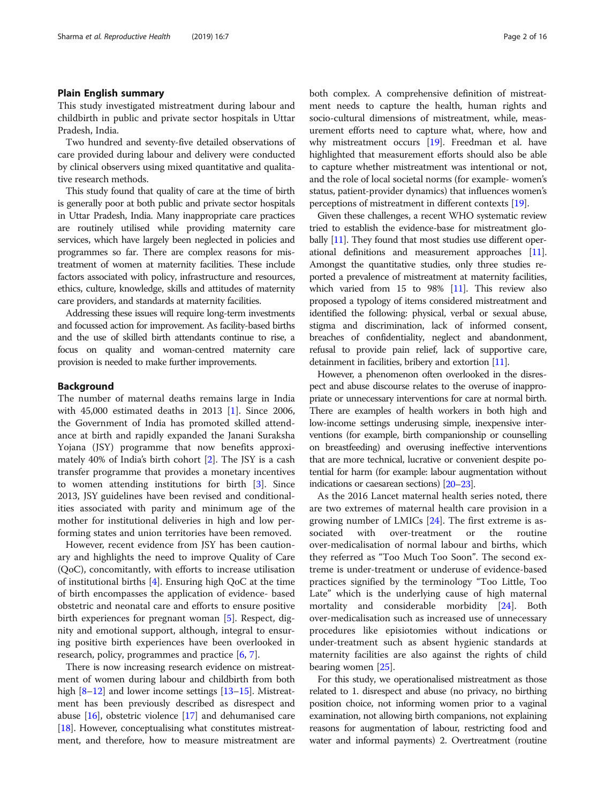### Plain English summary

This study investigated mistreatment during labour and childbirth in public and private sector hospitals in Uttar Pradesh, India.

Two hundred and seventy-five detailed observations of care provided during labour and delivery were conducted by clinical observers using mixed quantitative and qualitative research methods.

This study found that quality of care at the time of birth is generally poor at both public and private sector hospitals in Uttar Pradesh, India. Many inappropriate care practices are routinely utilised while providing maternity care services, which have largely been neglected in policies and programmes so far. There are complex reasons for mistreatment of women at maternity facilities. These include factors associated with policy, infrastructure and resources, ethics, culture, knowledge, skills and attitudes of maternity care providers, and standards at maternity facilities.

Addressing these issues will require long-term investments and focussed action for improvement. As facility-based births and the use of skilled birth attendants continue to rise, a focus on quality and woman-centred maternity care provision is needed to make further improvements.

#### Background

The number of maternal deaths remains large in India with 45,000 estimated deaths in 2013 [[1\]](#page-14-0). Since 2006, the Government of India has promoted skilled attendance at birth and rapidly expanded the Janani Suraksha Yojana (JSY) programme that now benefits approximately 40% of India's birth cohort [\[2](#page-14-0)]. The JSY is a cash transfer programme that provides a monetary incentives to women attending institutions for birth [\[3](#page-14-0)]. Since 2013, JSY guidelines have been revised and conditionalities associated with parity and minimum age of the mother for institutional deliveries in high and low performing states and union territories have been removed.

However, recent evidence from JSY has been cautionary and highlights the need to improve Quality of Care (QoC), concomitantly, with efforts to increase utilisation of institutional births [[4\]](#page-14-0). Ensuring high QoC at the time of birth encompasses the application of evidence- based obstetric and neonatal care and efforts to ensure positive birth experiences for pregnant woman [\[5](#page-14-0)]. Respect, dignity and emotional support, although, integral to ensuring positive birth experiences have been overlooked in research, policy, programmes and practice [[6,](#page-14-0) [7\]](#page-14-0).

There is now increasing research evidence on mistreatment of women during labour and childbirth from both high  $[8-12]$  $[8-12]$  $[8-12]$  $[8-12]$  and lower income settings  $[13-15]$  $[13-15]$  $[13-15]$  $[13-15]$ . Mistreatment has been previously described as disrespect and abuse [\[16\]](#page-14-0), obstetric violence [\[17\]](#page-14-0) and dehumanised care [[18](#page-14-0)]. However, conceptualising what constitutes mistreatment, and therefore, how to measure mistreatment are both complex. A comprehensive definition of mistreatment needs to capture the health, human rights and socio-cultural dimensions of mistreatment, while, measurement efforts need to capture what, where, how and why mistreatment occurs [\[19\]](#page-14-0). Freedman et al. have highlighted that measurement efforts should also be able to capture whether mistreatment was intentional or not, and the role of local societal norms (for example- women's status, patient-provider dynamics) that influences women's perceptions of mistreatment in different contexts [\[19](#page-14-0)].

Given these challenges, a recent WHO systematic review tried to establish the evidence-base for mistreatment globally  $[11]$  $[11]$  $[11]$ . They found that most studies use different operational definitions and measurement approaches [\[11](#page-14-0)]. Amongst the quantitative studies, only three studies reported a prevalence of mistreatment at maternity facilities, which varied from 15 to 98%  $[11]$  $[11]$ . This review also proposed a typology of items considered mistreatment and identified the following: physical, verbal or sexual abuse, stigma and discrimination, lack of informed consent, breaches of confidentiality, neglect and abandonment, refusal to provide pain relief, lack of supportive care, detainment in facilities, bribery and extortion [\[11\]](#page-14-0).

However, a phenomenon often overlooked in the disrespect and abuse discourse relates to the overuse of inappropriate or unnecessary interventions for care at normal birth. There are examples of health workers in both high and low-income settings underusing simple, inexpensive interventions (for example, birth companionship or counselling on breastfeeding) and overusing ineffective interventions that are more technical, lucrative or convenient despite potential for harm (for example: labour augmentation without indications or caesarean sections) [\[20](#page-14-0)–[23](#page-14-0)].

As the 2016 Lancet maternal health series noted, there are two extremes of maternal health care provision in a growing number of LMICs [[24\]](#page-14-0). The first extreme is associated with over-treatment or the routine over-medicalisation of normal labour and births, which they referred as "Too Much Too Soon". The second extreme is under-treatment or underuse of evidence-based practices signified by the terminology "Too Little, Too Late" which is the underlying cause of high maternal mortality and considerable morbidity [\[24](#page-14-0)]. Both over-medicalisation such as increased use of unnecessary procedures like episiotomies without indications or under-treatment such as absent hygienic standards at maternity facilities are also against the rights of child bearing women [[25\]](#page-15-0).

For this study, we operationalised mistreatment as those related to 1. disrespect and abuse (no privacy, no birthing position choice, not informing women prior to a vaginal examination, not allowing birth companions, not explaining reasons for augmentation of labour, restricting food and water and informal payments) 2. Overtreatment (routine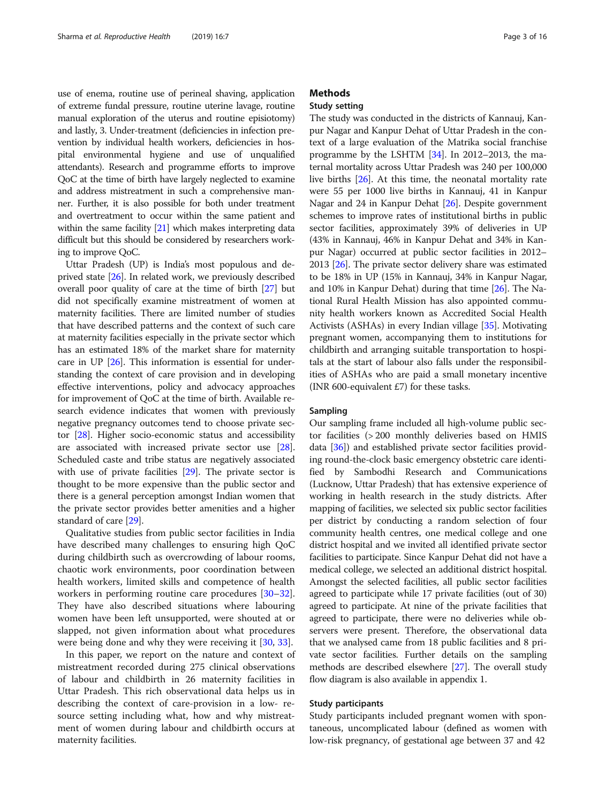use of enema, routine use of perineal shaving, application of extreme fundal pressure, routine uterine lavage, routine manual exploration of the uterus and routine episiotomy) and lastly, 3. Under-treatment (deficiencies in infection prevention by individual health workers, deficiencies in hospital environmental hygiene and use of unqualified attendants). Research and programme efforts to improve QoC at the time of birth have largely neglected to examine and address mistreatment in such a comprehensive manner. Further, it is also possible for both under treatment and overtreatment to occur within the same patient and within the same facility [[21](#page-14-0)] which makes interpreting data difficult but this should be considered by researchers working to improve QoC.

Uttar Pradesh (UP) is India's most populous and deprived state [\[26\]](#page-15-0). In related work, we previously described overall poor quality of care at the time of birth [[27](#page-15-0)] but did not specifically examine mistreatment of women at maternity facilities. There are limited number of studies that have described patterns and the context of such care at maternity facilities especially in the private sector which has an estimated 18% of the market share for maternity care in UP [[26](#page-15-0)]. This information is essential for understanding the context of care provision and in developing effective interventions, policy and advocacy approaches for improvement of QoC at the time of birth. Available research evidence indicates that women with previously negative pregnancy outcomes tend to choose private sector [\[28\]](#page-15-0). Higher socio-economic status and accessibility are associated with increased private sector use [[28](#page-15-0)]. Scheduled caste and tribe status are negatively associated with use of private facilities [[29](#page-15-0)]. The private sector is thought to be more expensive than the public sector and there is a general perception amongst Indian women that the private sector provides better amenities and a higher standard of care [[29](#page-15-0)].

Qualitative studies from public sector facilities in India have described many challenges to ensuring high QoC during childbirth such as overcrowding of labour rooms, chaotic work environments, poor coordination between health workers, limited skills and competence of health workers in performing routine care procedures [[30](#page-15-0)–[32](#page-15-0)]. They have also described situations where labouring women have been left unsupported, were shouted at or slapped, not given information about what procedures were being done and why they were receiving it [[30](#page-15-0), [33](#page-15-0)].

In this paper, we report on the nature and context of mistreatment recorded during 275 clinical observations of labour and childbirth in 26 maternity facilities in Uttar Pradesh. This rich observational data helps us in describing the context of care-provision in a low- resource setting including what, how and why mistreatment of women during labour and childbirth occurs at maternity facilities.

## **Methods**

## Study setting

The study was conducted in the districts of Kannauj, Kanpur Nagar and Kanpur Dehat of Uttar Pradesh in the context of a large evaluation of the Matrika social franchise programme by the LSHTM [\[34\]](#page-15-0). In 2012–2013, the maternal mortality across Uttar Pradesh was 240 per 100,000 live births [[26](#page-15-0)]. At this time, the neonatal mortality rate were 55 per 1000 live births in Kannauj, 41 in Kanpur Nagar and 24 in Kanpur Dehat [[26](#page-15-0)]. Despite government schemes to improve rates of institutional births in public sector facilities, approximately 39% of deliveries in UP (43% in Kannauj, 46% in Kanpur Dehat and 34% in Kanpur Nagar) occurred at public sector facilities in 2012– 2013 [\[26\]](#page-15-0). The private sector delivery share was estimated to be 18% in UP (15% in Kannauj, 34% in Kanpur Nagar, and 10% in Kanpur Dehat) during that time [[26\]](#page-15-0). The National Rural Health Mission has also appointed community health workers known as Accredited Social Health Activists (ASHAs) in every Indian village [[35](#page-15-0)]. Motivating pregnant women, accompanying them to institutions for childbirth and arranging suitable transportation to hospitals at the start of labour also falls under the responsibilities of ASHAs who are paid a small monetary incentive (INR 600-equivalent £7) for these tasks.

#### Sampling

Our sampling frame included all high-volume public sector facilities (> 200 monthly deliveries based on HMIS data [\[36](#page-15-0)]) and established private sector facilities providing round-the-clock basic emergency obstetric care identified by Sambodhi Research and Communications (Lucknow, Uttar Pradesh) that has extensive experience of working in health research in the study districts. After mapping of facilities, we selected six public sector facilities per district by conducting a random selection of four community health centres, one medical college and one district hospital and we invited all identified private sector facilities to participate. Since Kanpur Dehat did not have a medical college, we selected an additional district hospital. Amongst the selected facilities, all public sector facilities agreed to participate while 17 private facilities (out of 30) agreed to participate. At nine of the private facilities that agreed to participate, there were no deliveries while observers were present. Therefore, the observational data that we analysed came from 18 public facilities and 8 private sector facilities. Further details on the sampling methods are described elsewhere [[27](#page-15-0)]. The overall study flow diagram is also available in appendix 1.

## Study participants

Study participants included pregnant women with spontaneous, uncomplicated labour (defined as women with low-risk pregnancy, of gestational age between 37 and 42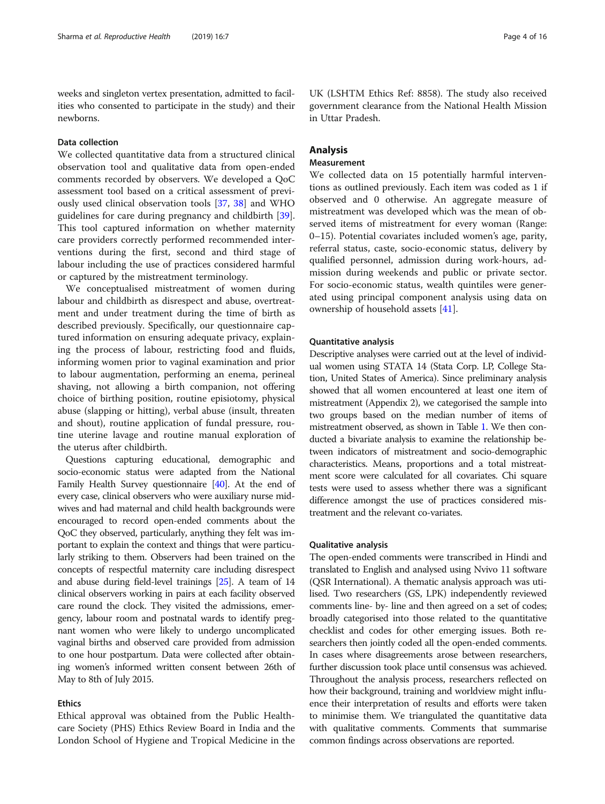weeks and singleton vertex presentation, admitted to facilities who consented to participate in the study) and their newborns.

## Data collection

We collected quantitative data from a structured clinical observation tool and qualitative data from open-ended comments recorded by observers. We developed a QoC assessment tool based on a critical assessment of previously used clinical observation tools [\[37](#page-15-0), [38\]](#page-15-0) and WHO guidelines for care during pregnancy and childbirth [\[39](#page-15-0)]. This tool captured information on whether maternity care providers correctly performed recommended interventions during the first, second and third stage of labour including the use of practices considered harmful or captured by the mistreatment terminology.

We conceptualised mistreatment of women during labour and childbirth as disrespect and abuse, overtreatment and under treatment during the time of birth as described previously. Specifically, our questionnaire captured information on ensuring adequate privacy, explaining the process of labour, restricting food and fluids, informing women prior to vaginal examination and prior to labour augmentation, performing an enema, perineal shaving, not allowing a birth companion, not offering choice of birthing position, routine episiotomy, physical abuse (slapping or hitting), verbal abuse (insult, threaten and shout), routine application of fundal pressure, routine uterine lavage and routine manual exploration of the uterus after childbirth.

Questions capturing educational, demographic and socio-economic status were adapted from the National Family Health Survey questionnaire [[40](#page-15-0)]. At the end of every case, clinical observers who were auxiliary nurse midwives and had maternal and child health backgrounds were encouraged to record open-ended comments about the QoC they observed, particularly, anything they felt was important to explain the context and things that were particularly striking to them. Observers had been trained on the concepts of respectful maternity care including disrespect and abuse during field-level trainings [\[25\]](#page-15-0). A team of 14 clinical observers working in pairs at each facility observed care round the clock. They visited the admissions, emergency, labour room and postnatal wards to identify pregnant women who were likely to undergo uncomplicated vaginal births and observed care provided from admission to one hour postpartum. Data were collected after obtaining women's informed written consent between 26th of May to 8th of July 2015.

## Ethics

Ethical approval was obtained from the Public Healthcare Society (PHS) Ethics Review Board in India and the London School of Hygiene and Tropical Medicine in the

UK (LSHTM Ethics Ref: 8858). The study also received government clearance from the National Health Mission in Uttar Pradesh.

## Analysis

#### Measurement

We collected data on 15 potentially harmful interventions as outlined previously. Each item was coded as 1 if observed and 0 otherwise. An aggregate measure of mistreatment was developed which was the mean of observed items of mistreatment for every woman (Range: 0–15). Potential covariates included women's age, parity, referral status, caste, socio-economic status, delivery by qualified personnel, admission during work-hours, admission during weekends and public or private sector. For socio-economic status, wealth quintiles were generated using principal component analysis using data on ownership of household assets [[41\]](#page-15-0).

#### Quantitative analysis

Descriptive analyses were carried out at the level of individual women using STATA 14 (Stata Corp. LP, College Station, United States of America). Since preliminary analysis showed that all women encountered at least one item of mistreatment (Appendix 2), we categorised the sample into two groups based on the median number of items of mistreatment observed, as shown in Table [1](#page-4-0). We then conducted a bivariate analysis to examine the relationship between indicators of mistreatment and socio-demographic characteristics. Means, proportions and a total mistreatment score were calculated for all covariates. Chi square tests were used to assess whether there was a significant difference amongst the use of practices considered mistreatment and the relevant co-variates.

#### Qualitative analysis

The open-ended comments were transcribed in Hindi and translated to English and analysed using Nvivo 11 software (QSR International). A thematic analysis approach was utilised. Two researchers (GS, LPK) independently reviewed comments line- by- line and then agreed on a set of codes; broadly categorised into those related to the quantitative checklist and codes for other emerging issues. Both researchers then jointly coded all the open-ended comments. In cases where disagreements arose between researchers, further discussion took place until consensus was achieved. Throughout the analysis process, researchers reflected on how their background, training and worldview might influence their interpretation of results and efforts were taken to minimise them. We triangulated the quantitative data with qualitative comments. Comments that summarise common findings across observations are reported.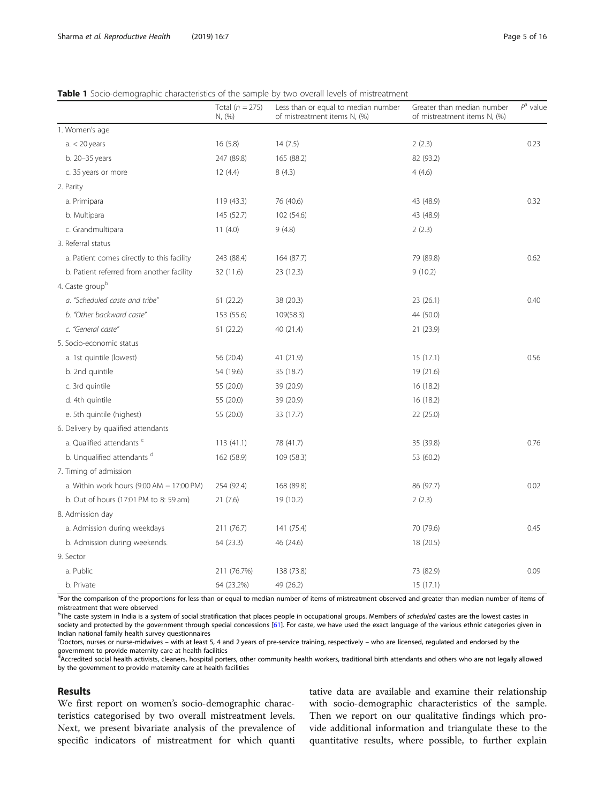## <span id="page-4-0"></span>Table 1 Socio-demographic characteristics of the sample by two overall levels of mistreatment

|                                            | Total ( $n = 275$ )<br>N, (%) | Less than or equal to median number<br>of mistreatment items N, (%) | Greater than median number<br>of mistreatment items N, (%) | $P^a$ value |
|--------------------------------------------|-------------------------------|---------------------------------------------------------------------|------------------------------------------------------------|-------------|
| 1. Women's age                             |                               |                                                                     |                                                            |             |
| $a. < 20$ years                            | 16(5.8)                       | 14(7.5)                                                             | 2(2.3)                                                     | 0.23        |
| b. 20-35 years                             | 247 (89.8)                    | 165 (88.2)                                                          | 82 (93.2)                                                  |             |
| c. 35 years or more                        | 12(4.4)                       | 8(4.3)                                                              | 4(4.6)                                                     |             |
| 2. Parity                                  |                               |                                                                     |                                                            |             |
| a. Primipara                               | 119 (43.3)                    | 76 (40.6)                                                           | 43 (48.9)                                                  | 0.32        |
| b. Multipara                               | 145 (52.7)                    | 102 (54.6)                                                          | 43 (48.9)                                                  |             |
| c. Grandmultipara                          | 11(4.0)                       | 9(4.8)                                                              | 2(2.3)                                                     |             |
| 3. Referral status                         |                               |                                                                     |                                                            |             |
| a. Patient comes directly to this facility | 243 (88.4)                    | 164 (87.7)                                                          | 79 (89.8)                                                  | 0.62        |
| b. Patient referred from another facility  | 32 (11.6)                     | 23 (12.3)                                                           | 9(10.2)                                                    |             |
| 4. Caste groupb                            |                               |                                                                     |                                                            |             |
| a. "Scheduled caste and tribe"             | 61(22.2)                      | 38 (20.3)                                                           | 23 (26.1)                                                  | 0.40        |
| b. "Other backward caste"                  | 153 (55.6)                    | 109(58.3)                                                           | 44 (50.0)                                                  |             |
| c. "General caste"                         | 61(22.2)                      | 40 (21.4)                                                           | 21 (23.9)                                                  |             |
| 5. Socio-economic status                   |                               |                                                                     |                                                            |             |
| a. 1st quintile (lowest)                   | 56 (20.4)                     | 41 (21.9)                                                           | 15(17.1)                                                   | 0.56        |
| b. 2nd quintile                            | 54 (19.6)                     | 35 (18.7)                                                           | 19 (21.6)                                                  |             |
| c. 3rd quintile                            | 55 (20.0)                     | 39 (20.9)                                                           | 16(18.2)                                                   |             |
| d. 4th quintile                            | 55 (20.0)                     | 39 (20.9)                                                           | 16 (18.2)                                                  |             |
| e. 5th quintile (highest)                  | 55 (20.0)                     | 33 (17.7)                                                           | 22(25.0)                                                   |             |
| 6. Delivery by qualified attendants        |                               |                                                                     |                                                            |             |
| a. Qualified attendants c                  | 113(41.1)                     | 78 (41.7)                                                           | 35 (39.8)                                                  | 0.76        |
| b. Unqualified attendants d                | 162 (58.9)                    | 109 (58.3)                                                          | 53 (60.2)                                                  |             |
| 7. Timing of admission                     |                               |                                                                     |                                                            |             |
| a. Within work hours (9:00 AM - 17:00 PM)  | 254 (92.4)                    | 168 (89.8)                                                          | 86 (97.7)                                                  | 0.02        |
| b. Out of hours (17:01 PM to 8: 59 am)     | 21(7.6)                       | 19 (10.2)                                                           | 2(2.3)                                                     |             |
| 8. Admission day                           |                               |                                                                     |                                                            |             |
| a. Admission during weekdays               | 211 (76.7)                    | 141 (75.4)                                                          | 70 (79.6)                                                  | 0.45        |
| b. Admission during weekends.              | 64 (23.3)                     | 46 (24.6)                                                           | 18 (20.5)                                                  |             |
| 9. Sector                                  |                               |                                                                     |                                                            |             |
| a. Public                                  | 211 (76.7%)                   | 138 (73.8)                                                          | 73 (82.9)                                                  | 0.09        |
| b. Private                                 | 64 (23.2%)                    | 49 (26.2)                                                           | 15 (17.1)                                                  |             |

<sup>a</sup>For the comparison of the proportions for less than or equal to median number of items of mistreatment observed and greater than median number of items of mistreatment that were observed

<sup>b</sup>The caste system in India is a system of social stratification that places people in occupational groups. Members of *scheduled* castes are the lowest castes in society and protected by the government through special concessions [[61\]](#page-15-0). For caste, we have used the exact language of the various ethnic categories given in Indian national family health survey questionnaires

c Doctors, nurses or nurse-midwives – with at least 5, 4 and 2 years of pre-service training, respectively – who are licensed, regulated and endorsed by the government to provide maternity care at health facilities<br>decredited social health activists, cleaners, hospital port

Accredited social health activists, cleaners, hospital porters, other community health workers, traditional birth attendants and others who are not legally allowed by the government to provide maternity care at health facilities

#### Results

We first report on women's socio-demographic characteristics categorised by two overall mistreatment levels. Next, we present bivariate analysis of the prevalence of specific indicators of mistreatment for which quanti

tative data are available and examine their relationship with socio-demographic characteristics of the sample. Then we report on our qualitative findings which provide additional information and triangulate these to the quantitative results, where possible, to further explain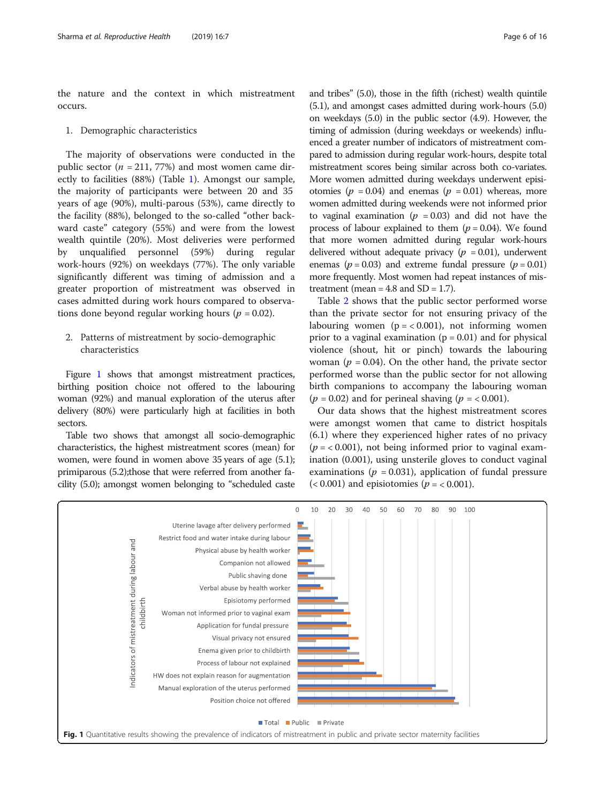<span id="page-5-0"></span>the nature and the context in which mistreatment occurs.

1. Demographic characteristics

The majority of observations were conducted in the public sector ( $n = 211, 77\%)$  and most women came directly to facilities (88%) (Table [1\)](#page-4-0). Amongst our sample, the majority of participants were between 20 and 35 years of age (90%), multi-parous (53%), came directly to the facility (88%), belonged to the so-called "other backward caste" category (55%) and were from the lowest wealth quintile (20%). Most deliveries were performed by unqualified personnel (59%) during regular work-hours (92%) on weekdays (77%). The only variable significantly different was timing of admission and a greater proportion of mistreatment was observed in cases admitted during work hours compared to observations done beyond regular working hours ( $p = 0.02$ ).

2. Patterns of mistreatment by socio-demographic characteristics

Figure 1 shows that amongst mistreatment practices, birthing position choice not offered to the labouring woman (92%) and manual exploration of the uterus after delivery (80%) were particularly high at facilities in both sectors.

Table two shows that amongst all socio-demographic characteristics, the highest mistreatment scores (mean) for women, were found in women above 35 years of age (5.1); primiparous (5.2);those that were referred from another facility (5.0); amongst women belonging to "scheduled caste and tribes" (5.0), those in the fifth (richest) wealth quintile (5.1), and amongst cases admitted during work-hours (5.0) on weekdays (5.0) in the public sector (4.9). However, the timing of admission (during weekdays or weekends) influenced a greater number of indicators of mistreatment compared to admission during regular work-hours, despite total mistreatment scores being similar across both co-variates. More women admitted during weekdays underwent episiotomies ( $p = 0.04$ ) and enemas ( $p = 0.01$ ) whereas, more women admitted during weekends were not informed prior to vaginal examination ( $p = 0.03$ ) and did not have the process of labour explained to them  $(p = 0.04)$ . We found that more women admitted during regular work-hours delivered without adequate privacy ( $p = 0.01$ ), underwent enemas ( $p = 0.03$ ) and extreme fundal pressure ( $p = 0.01$ ) more frequently. Most women had repeat instances of mistreatment (mean  $= 4.8$  and SD  $= 1.7$ ).

Table [2](#page-7-0) shows that the public sector performed worse than the private sector for not ensuring privacy of the labouring women ( $p = < 0.001$ ), not informing women prior to a vaginal examination  $(p = 0.01)$  and for physical violence (shout, hit or pinch) towards the labouring woman ( $p = 0.04$ ). On the other hand, the private sector performed worse than the public sector for not allowing birth companions to accompany the labouring woman ( $p = 0.02$ ) and for perineal shaving ( $p = < 0.001$ ).

Our data shows that the highest mistreatment scores were amongst women that came to district hospitals (6.1) where they experienced higher rates of no privacy  $(p = 0.001)$ , not being informed prior to vaginal examination (0.001), using unsterile gloves to conduct vaginal examinations ( $p = 0.031$ ), application of fundal pressure  $(< 0.001$ ) and episiotomies ( $p = < 0.001$ ).

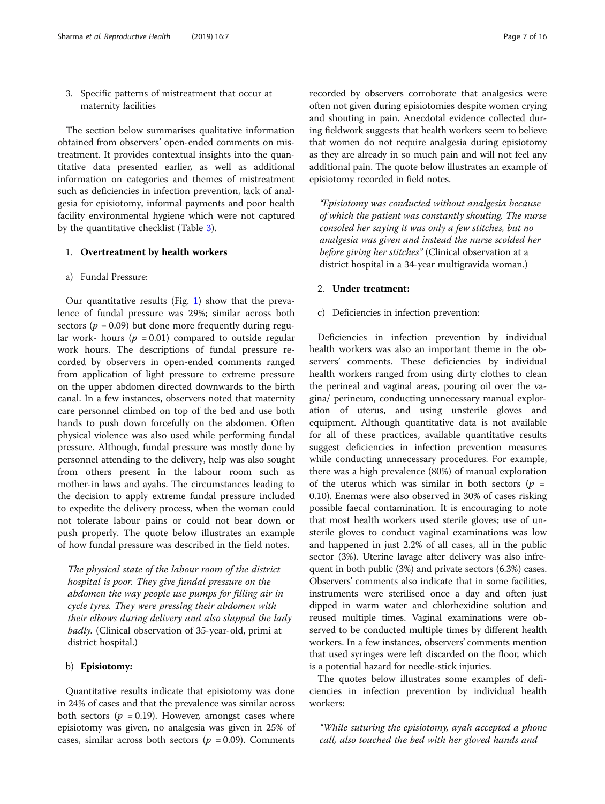3. Specific patterns of mistreatment that occur at maternity facilities

The section below summarises qualitative information obtained from observers' open-ended comments on mistreatment. It provides contextual insights into the quantitative data presented earlier, as well as additional information on categories and themes of mistreatment such as deficiencies in infection prevention, lack of analgesia for episiotomy, informal payments and poor health facility environmental hygiene which were not captured by the quantitative checklist (Table [3](#page-9-0)).

#### 1. Overtreatment by health workers

a) Fundal Pressure:

Our quantitative results (Fig. [1](#page-5-0)) show that the prevalence of fundal pressure was 29%; similar across both sectors ( $p = 0.09$ ) but done more frequently during regular work- hours ( $p = 0.01$ ) compared to outside regular work hours. The descriptions of fundal pressure recorded by observers in open-ended comments ranged from application of light pressure to extreme pressure on the upper abdomen directed downwards to the birth canal. In a few instances, observers noted that maternity care personnel climbed on top of the bed and use both hands to push down forcefully on the abdomen. Often physical violence was also used while performing fundal pressure. Although, fundal pressure was mostly done by personnel attending to the delivery, help was also sought from others present in the labour room such as mother-in laws and ayahs. The circumstances leading to the decision to apply extreme fundal pressure included to expedite the delivery process, when the woman could not tolerate labour pains or could not bear down or push properly. The quote below illustrates an example of how fundal pressure was described in the field notes.

The physical state of the labour room of the district hospital is poor. They give fundal pressure on the abdomen the way people use pumps for filling air in cycle tyres. They were pressing their abdomen with their elbows during delivery and also slapped the lady badly. (Clinical observation of 35-year-old, primi at district hospital.)

### b) Episiotomy:

Quantitative results indicate that episiotomy was done in 24% of cases and that the prevalence was similar across both sectors ( $p = 0.19$ ). However, amongst cases where episiotomy was given, no analgesia was given in 25% of cases, similar across both sectors ( $p = 0.09$ ). Comments

recorded by observers corroborate that analgesics were often not given during episiotomies despite women crying and shouting in pain. Anecdotal evidence collected during fieldwork suggests that health workers seem to believe that women do not require analgesia during episiotomy as they are already in so much pain and will not feel any additional pain. The quote below illustrates an example of episiotomy recorded in field notes.

"Episiotomy was conducted without analgesia because of which the patient was constantly shouting. The nurse consoled her saying it was only a few stitches, but no analgesia was given and instead the nurse scolded her before giving her stitches" (Clinical observation at a district hospital in a 34-year multigravida woman.)

#### 2. Under treatment:

#### c) Deficiencies in infection prevention:

Deficiencies in infection prevention by individual health workers was also an important theme in the observers' comments. These deficiencies by individual health workers ranged from using dirty clothes to clean the perineal and vaginal areas, pouring oil over the vagina/ perineum, conducting unnecessary manual exploration of uterus, and using unsterile gloves and equipment. Although quantitative data is not available for all of these practices, available quantitative results suggest deficiencies in infection prevention measures while conducting unnecessary procedures. For example, there was a high prevalence (80%) of manual exploration of the uterus which was similar in both sectors ( $p =$ 0.10). Enemas were also observed in 30% of cases risking possible faecal contamination. It is encouraging to note that most health workers used sterile gloves; use of unsterile gloves to conduct vaginal examinations was low and happened in just 2.2% of all cases, all in the public sector (3%). Uterine lavage after delivery was also infrequent in both public (3%) and private sectors (6.3%) cases. Observers' comments also indicate that in some facilities, instruments were sterilised once a day and often just dipped in warm water and chlorhexidine solution and reused multiple times. Vaginal examinations were observed to be conducted multiple times by different health workers. In a few instances, observers' comments mention that used syringes were left discarded on the floor, which is a potential hazard for needle-stick injuries.

The quotes below illustrates some examples of deficiencies in infection prevention by individual health workers:

"While suturing the episiotomy, ayah accepted a phone call, also touched the bed with her gloved hands and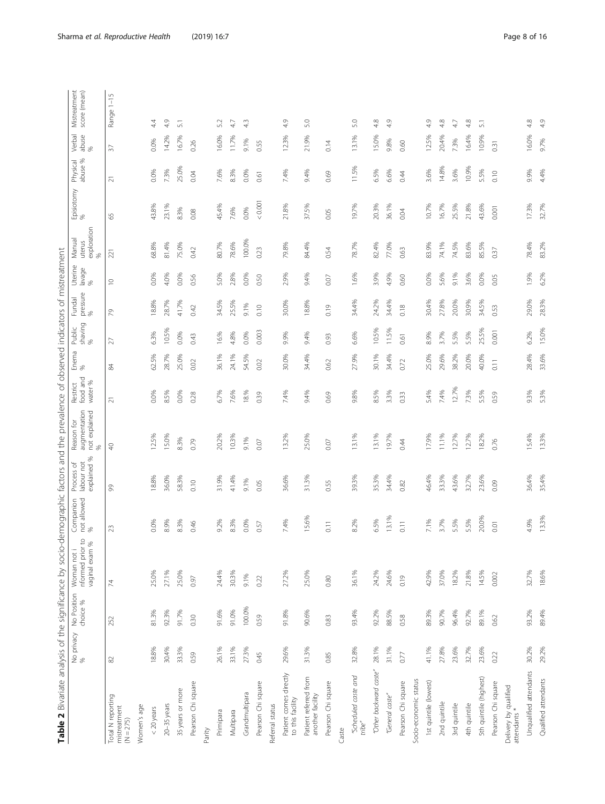| ļ<br>l<br>$\overline{ }$                                     |
|--------------------------------------------------------------|
| ;                                                            |
|                                                              |
| i<br>i                                                       |
| İ<br>l                                                       |
| í                                                            |
|                                                              |
| i                                                            |
|                                                              |
|                                                              |
| l                                                            |
| l                                                            |
| )<br>)<br>)                                                  |
|                                                              |
| ֖֖֖֖֚֚֚֚֚֚֚֚֚֚֡֬                                             |
|                                                              |
|                                                              |
| ֖֖֖֖֖֖֖֖֖֧ׅ֖֖֧֪֪֪ׅ֖֧֪֪֪֪֪֧֖֚֚֚֚֚֚֚֚֚֚֚֚֚֚֚֚֚֚֚֚֬֝֓֬֝֓֝֓֞֬֓֞֓ |
| 5                                                            |
|                                                              |
| i<br>i                                                       |
| )<br>2<br>j<br>l                                             |
| l<br>j                                                       |
|                                                              |
| $\overline{ }$<br>l                                          |
|                                                              |
| )<br>)<br>۱<br>j                                             |
| I                                                            |
| i                                                            |
|                                                              |
|                                                              |
| ć<br>1<br>ţ                                                  |
| ļ                                                            |
|                                                              |
|                                                              |
|                                                              |
| 5                                                            |
| ¢                                                            |
| ī                                                            |
|                                                              |
|                                                              |
| É                                                            |
| ī                                                            |
| i                                                            |
|                                                              |
| j                                                            |
|                                                              |
|                                                              |
| Ś<br>j                                                       |
| i                                                            |
| i<br>١                                                       |
| l                                                            |
|                                                              |
| å<br>١                                                       |
| )<br>5<br>i                                                  |
| Ó                                                            |
|                                                              |
| i                                                            |
| りりり                                                          |
|                                                              |
| $\tilde{c}$<br>j                                             |
|                                                              |
| )<br>J<br>Ï                                                  |
|                                                              |
| i<br>j<br>j<br>I                                             |
|                                                              |
| ĺ                                                            |
| i<br>֖֖֖֖֖֖֖֪ׅ֪ׅ֪֪֪ׅ֪֪֪֪֪֦֖֚֚֚֚֚֚֚֚֚֚֚֚֚֚֚֚֚֚֬֝֝֝֝֬֝֓        |
| j                                                            |
|                                                              |
| ۱                                                            |
| Ò                                                            |
|                                                              |
| i                                                            |
|                                                              |
|                                                              |
|                                                              |
| I<br>١                                                       |
| I                                                            |
| I                                                            |
|                                                              |
|                                                              |
| J                                                            |
| 1                                                            |
| ׇ֘֝֬֝                                                        |
| $\ddot{\epsilon}$<br>ľ<br>١                                  |
| j<br>ĺ<br>ľ                                                  |
|                                                              |
|                                                              |
|                                                              |
| ;<br>;<br>able <sup>-</sup>                                  |

<span id="page-7-0"></span>

| Table 2 Bivariate analysis of the significance by socio-demographic factors and the prevalence of observed indicators of mistreatment |                 |                         |                                                                  |                                  |                                         |                                                   |                                 |                      |                           |                         |                           |                                       |                 |                     |                       |                              |
|---------------------------------------------------------------------------------------------------------------------------------------|-----------------|-------------------------|------------------------------------------------------------------|----------------------------------|-----------------------------------------|---------------------------------------------------|---------------------------------|----------------------|---------------------------|-------------------------|---------------------------|---------------------------------------|-----------------|---------------------|-----------------------|------------------------------|
|                                                                                                                                       | No privacy<br>% | No Position<br>choice % | $\overline{c}$<br>vaginal exam %<br>nformed prior<br>Woman not i | not allowed<br>Companion<br>$\%$ | explained %<br>labour not<br>Process of | augmentation<br>not explained<br>Reason for<br>S, | food and<br>water %<br>Restrict | Enema $\frac{8}{96}$ | shaving<br>Public<br>$\%$ | pressure<br>%<br>Fundal | Uterine<br>lavage<br>$\%$ | exploration<br>Manual<br>uterus<br>S, | Episiotomy<br>% | abuse %<br>Physical | abuse<br>Verbal<br>S. | Mistreatment<br>score (mean) |
| Total N reporting<br>mistreatment<br>$(N = 275)$                                                                                      | 82              | 252                     | $\overline{\mathcal{A}}$                                         | 23                               | 99                                      | $\Theta$                                          | $\overline{\sim}$               | $\frac{8}{4}$        | 27                        | $\mathcal{P}^{\circ}$   | $\supseteq$               | 221                                   | 59              | $\overline{c}$      | $\approx$             | Range 1-15                   |
| Women's age                                                                                                                           |                 |                         |                                                                  |                                  |                                         |                                                   |                                 |                      |                           |                         |                           |                                       |                 |                     |                       |                              |
| $<$ 20 years                                                                                                                          | 18.8%           | 81.3%                   | 25.0%                                                            | 0.0%                             | 18.8%                                   | 12.5%                                             | 0.0%                            | 62.5%                | 6.3%                      | 18.8%                   | 0.0%                      | 68.8%                                 | 43.8%           | 0.0%                | 0.0%                  | 44                           |
| $20 - 35$ years                                                                                                                       | 30.4%           | 92.3%                   | 27.1%                                                            | 8.9%                             | 36.0%                                   | 15.0%                                             | 8.5%                            | 28.7%                | 10.5%                     | 28.7%                   | 4.0%                      | 81.4%                                 | 23.1%           | 7.3%                | 14.2%                 | 4.9                          |
| 35 years or more                                                                                                                      | 33.3%           | 91.7%                   | 25.0%                                                            | 8.3%                             | 58.3%                                   | 8.3%                                              | 0.0%                            | 25.0%                | 0.0%                      | 41.7%                   | 0.0%                      | 75.0%                                 | 8.3%            | 25.0%               | 16.7%                 | $\overline{51}$              |
| Pearson Chi square                                                                                                                    | 0.59            | 0.30                    | 0.97                                                             | 0.46                             | 0.10                                    | 0.79                                              | 0.28                            | 0.02                 | 0.43                      | 0.42                    | 0.56                      | 0.42                                  | 0.08            | 0.04                | 0.26                  |                              |
| Parity                                                                                                                                |                 |                         |                                                                  |                                  |                                         |                                                   |                                 |                      |                           |                         |                           |                                       |                 |                     |                       |                              |
| Primipara                                                                                                                             | 26.1%           | 91.6%                   | 24.4%                                                            | 9.2%                             | 31.9%                                   | 20.2%                                             | 6.7%                            | 36.1%                | 16.%                      | 34.5%                   | 5.0%                      | 80.7%                                 | 45.4%           | 7.6%                | 16.0%                 | 5.2                          |
| Multipara                                                                                                                             | 33.1%           | 91.0%                   | 30.3%                                                            | 8.3%                             | 41.4%                                   | 10.3%                                             | 7.6%                            | 24.1%                | 4.8%                      | 25.5%                   | 2.8%                      | 78.6%                                 | 7.6%            | 8.3%                | 11.7%                 | 47                           |
| Grandmultipara                                                                                                                        | 27.3%           | 100.0%                  | 9.1%                                                             | 0.0%                             | 9.1%                                    | 9.1%                                              | 18%                             | 54.5%                | 0.0%                      | 9.1%                    | 0.0%                      | 100.0%                                | 0.0%            | 0.0%                | 9.1%                  | 43                           |
| Pearson Chi square                                                                                                                    | 0.45            | 0.59                    | 0.22                                                             | 0.57                             | 0.05                                    | 0.07                                              | 0.39                            | 0.02                 | 0.003                     | 0.10                    | 0.50                      | 0.23                                  | $<0.001$        | 0.61                | 0.55                  |                              |
| Referral status                                                                                                                       |                 |                         |                                                                  |                                  |                                         |                                                   |                                 |                      |                           |                         |                           |                                       |                 |                     |                       |                              |
| Patient comes directly<br>to this facility                                                                                            | 29.6%           | 91.8%                   | 27.2%                                                            | 7.4%                             | 36.6%                                   | 13.2%                                             | 7.4%                            | 30.0%                | 9.9%                      | 30.0%                   | 2.9%                      | 79.8%                                 | 21.8%           | 7.4%                | 12.3%                 | 4.9                          |
| Patient referred from<br>another facility                                                                                             | 31.3%           | 90.6%                   | 25.0%                                                            | 15.6%                            | 31.3%                                   | 25.0%                                             | 9.4%                            | 34.4%                | 9.4%                      | 18.8%                   | 9.4%                      | 84.4%                                 | 37.5%           | 9.4%                | 21.9%                 | 5.0                          |
| Pearson Chi square                                                                                                                    | 0.85            | 0.83                    | 0.80                                                             | 0.11                             | 0.55                                    | 0.07                                              | 0.69                            | 0.62                 | 0.93                      | 0.19                    | $0.07$                    | 0.54                                  | 0.05            | 0.69                | 0.14                  |                              |
| Caste                                                                                                                                 |                 |                         |                                                                  |                                  |                                         |                                                   |                                 |                      |                           |                         |                           |                                       |                 |                     |                       |                              |
| "Scheduled caste and<br>tribe"                                                                                                        | 32.8%           | 93.4%                   | 36.1%                                                            | 8.2%                             | 39.3%                                   | 13.1%                                             | 9.8%                            | 27.9%                | 6.6%                      | 34.4%                   | 1.6%                      | 78.7%                                 | 19.7%           | 11.5%               | 13.1%                 | 5.0                          |
| "Other backward caste"                                                                                                                | 28.1%           | 92.2%                   | 24.2%                                                            | 6.5%                             | 35.3%                                   | 13.1%                                             | 8.5%                            | 30.1%                | 10.5%                     | 24.2%                   | 3.9%                      | 82.4%                                 | 20.3%           | 6.5%                | 15.0%                 | 4.8                          |
| "General caste"                                                                                                                       | 31.1%           | 88.5%                   | 24.6%                                                            | 13.1%                            | 34.4%                                   | 19.7%                                             | 3.3%                            | 34.4%                | 11.5%                     | 34.4%                   | 4.9%                      | 77.0%                                 | 36.1%           | 6.6%                | 9.8%                  | 4.9                          |
| Pearson Chi square                                                                                                                    | $0.77$          | 0.58                    | 0.19                                                             | 0.11                             | 0.82                                    | 0.44                                              | 0.33                            | 0.72                 | 0.61                      | 0.18                    | 0.60                      | 0.63                                  | 0.04            | 0.44                | 0.60                  |                              |
| Socio-economic status                                                                                                                 |                 |                         |                                                                  |                                  |                                         |                                                   |                                 |                      |                           |                         |                           |                                       |                 |                     |                       |                              |
| 1st quintile (lowest)                                                                                                                 | 41.1%           | 89.3%                   | 42.9%                                                            | 7.1%                             | 46.4%                                   | 17.9%                                             | 5.4%                            | 25.0%                | 8.9%                      | 30.4%                   | 0.0%                      | 83.9%                                 | 10.7%           | 3.6%                | 12.5%                 | 4.9                          |
| 2nd quintile                                                                                                                          | 27.8%           | 90.7%                   | 37.0%                                                            | 3.7%                             | 33.3%                                   | 11.1%                                             | 7.4%                            | 29.6%                | 3.7%                      | 27.8%                   | 5.6%                      | 74.1%                                 | 16.7%           | 14.8%               | 20.4%                 | 4.8                          |
| 3rd quintile                                                                                                                          | 23.6%           | 96.4%                   | 18.2%                                                            | 5.5%                             | 43.6%                                   | 12.7%                                             | 12.7%                           | 38.2%                | 5.5%                      | 20.0%                   | 9.1%                      | 74.5%                                 | 25.5%           | 3.6%                | 7.3%                  | 47                           |
| 4th quintile                                                                                                                          | 32.7%           | 92.7%                   | 21.8%                                                            | 5.5%                             | 32.7%                                   | 12.7%                                             | 7.3%                            | 20.0%                | 5.5%                      | 30.9%                   | 3.6%                      | 83.6%                                 | 21.8%           | 10.9%               | 16.4%                 | 4.8                          |
| 5th quintile (highest)                                                                                                                | 23.6%           | 89.1%                   | 14.5%                                                            | 20.0%                            | 23.6%                                   | 18.2%                                             | 5.5%                            | 40.0%                | 25.5%                     | 34.5%                   | 0.0%                      | 85.5%                                 | 43.6%           | 5.5%                | 10.9%                 | $\overline{51}$              |
| Pearson Chi square                                                                                                                    | 0.22            | 0.62                    | 0.002                                                            | 0.01                             | 0.09                                    | 0.76                                              | 0.59                            | $\overline{0}$ .11   | 0.001                     | 0.53                    | 0.05                      | 0.37                                  | 0.001           | 0.10                | 0.31                  |                              |
| Delivery by qualified<br>attendants *                                                                                                 |                 |                         |                                                                  |                                  |                                         |                                                   |                                 |                      |                           |                         |                           |                                       |                 |                     |                       |                              |
| Unqualified attendants                                                                                                                | 30.2%           | 93.2%                   | 32.7%                                                            | 4.9%                             | 36.4%                                   | 15.4%                                             | 9.3%                            | 28.4%                | 6.2%                      | 29.0%                   | 1.9%                      | 78.4%                                 | 17.3%           | 9.9%                | 16.0%                 | $4.8$                        |
| Qualified attendants                                                                                                                  | 29.2%           | 89.4%                   | 18.6%                                                            | 13.3%                            | 35.4%                                   | 13.3%                                             | 5.3%                            | 33.6%                | 15.0%                     | 28.3%                   | 6.2%                      | 83.2%                                 | 32.7%           | 4.4%                | 9.7%                  | 4.9                          |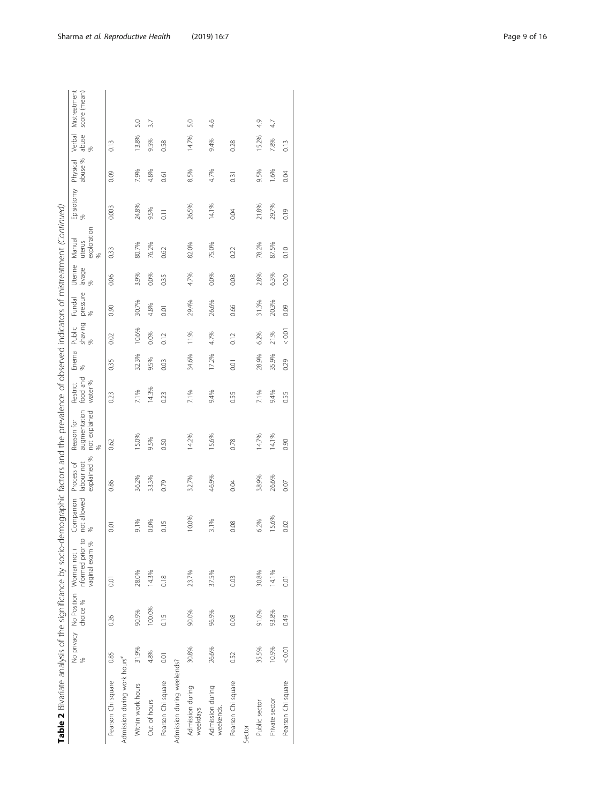| ١<br>١                          |
|---------------------------------|
| p<br>l<br>ĺ                     |
| S                               |
|                                 |
| i<br>١                          |
|                                 |
|                                 |
| ï<br>۱<br>j                     |
| i                               |
| i<br>j                          |
| Ì<br>j                          |
| $\frac{1}{2}$<br>$\frac{1}{2}$  |
| <b>.</b><br>ļ                   |
|                                 |
| J<br>Ó                          |
| j                               |
| ֘֝֕֕                            |
| ś<br>i                          |
| i                               |
|                                 |
| ١                               |
| ļ<br>ì<br>í<br>ì                |
| į<br>j<br>ä                     |
| ì                               |
| I<br>١                          |
| l                               |
| )<br>Ì                          |
| j<br>$\frac{1}{2}$<br>j         |
|                                 |
| j<br>İ                          |
| ١                               |
| j<br>Ï                          |
| I                               |
| j<br>1                          |
| l                               |
| $\zeta$<br>5                    |
| ٣<br>I                          |
| í<br>l<br>١                     |
| Ì<br>Ì                          |
| )<br>)<br>)                     |
| ï                               |
| j                               |
| I                               |
|                                 |
| ī<br>5<br>ì                     |
| Ś<br>֚֬֓<br>$\overline{)}$<br>I |
| i                               |
| i<br>l                          |
| J<br>١<br>į                     |
| l<br>I                          |
| j<br><<br><<br>ί                |
| I<br>i                          |
|                                 |
| Ì                               |
|                                 |
| 1<br>t                          |
| $\frac{1}{2}$                   |
| ١<br>d<br>ī<br>ׇ֠               |
| i                               |
| ţ                               |
| ł<br>$\mathbf{r}$               |
| $\frac{1}{2}$                   |
| j<br>ļ<br>⊻<br>S                |
| r.                              |
| $\ddot{\zeta}$                  |
| 7<br>j<br>$\ddot{\phantom{0}}$  |
| š                               |
| S                               |
|                                 |
|                                 |
|                                 |
| i                               |
|                                 |
|                                 |
|                                 |
|                                 |
| Ξ                               |
| l<br>I                          |

| Table 2 Bivariate analysis of the significance by socio-demographic factors and the prevalence of observed indicators of mistreatment (Continued) |                |                                                |                                                   |                                |                                         |                                                   |                                 |             |                        |                         |                         |                                       |                  |                     |                       |                              |
|---------------------------------------------------------------------------------------------------------------------------------------------------|----------------|------------------------------------------------|---------------------------------------------------|--------------------------------|-----------------------------------------|---------------------------------------------------|---------------------------------|-------------|------------------------|-------------------------|-------------------------|---------------------------------------|------------------|---------------------|-----------------------|------------------------------|
|                                                                                                                                                   | S,             | No privacy No Position Woman not i<br>choice % | $\overline{c}$<br>vaginal exam %<br>nformed prior | not allowed<br>Companion<br>S, | explained %<br>Process of<br>labour not | augmentation<br>not explained<br>Reason for<br>S6 | food and<br>water %<br>Restrict | Enema<br>S, | shaving<br>%<br>Public | pressure<br>%<br>Fundal | Uterine<br>lavage<br>S, | exploration<br>Manual<br>uterus<br>S, | Episiotomy<br>S, | abuse %<br>Physical | abuse<br>Verbal<br>×, | Mistreatment<br>score (mean) |
| Pearson Chi square                                                                                                                                | 0.85           | 0.26                                           | $\overline{0}$                                    | <b>DO</b>                      | 0.86                                    | 0.62                                              | 0.23                            | 0.35        | 0.02                   | 0.90                    | 0.06                    | 0.33                                  | 0.003            | 0.09                | 0.13                  |                              |
| Admission during work hours"                                                                                                                      |                |                                                |                                                   |                                |                                         |                                                   |                                 |             |                        |                         |                         |                                       |                  |                     |                       |                              |
| Within work hours                                                                                                                                 | 31.9%          | 90.9%                                          | 28.0%                                             | 9.1%                           | 36.2%                                   | 15.0%                                             | 7.1%                            | 32.3%       | 10.6%                  | 30.7%                   | 3.9%                    | 80.7%                                 | 24.8%            | 7.9%                | 13.8%                 | 5.0                          |
| Out of hours                                                                                                                                      | 4.8%           | 100.0%                                         | 14.3%                                             | 0.0%                           | 33.3%                                   | 9.5%                                              | 14.3%                           | 9.5%        | 0.0%                   | 4.8%                    | 0.0%                    | 76.2%                                 | 9.5%             | 4.8%                | 9.5%                  | 3.7                          |
| Pearson Chi square                                                                                                                                | $\overline{0}$ | 0.15                                           | 0.18                                              | 0.15                           | 0.79                                    | 0.50                                              | 0.23                            | 0.03        | 0.12                   | $\overline{5}$          | 0.35                    | 0.62                                  | $\overline{0}$ . | 0.61                | 0.58                  |                              |
| Admission during weekends?                                                                                                                        |                |                                                |                                                   |                                |                                         |                                                   |                                 |             |                        |                         |                         |                                       |                  |                     |                       |                              |
| Admission during<br>weekdays                                                                                                                      | 30.8%          | 90.0%                                          | 23.7%                                             | 10.0%                          | 32.7%                                   | 14.2%                                             | 7.1%                            | 34.6%       | 11.%                   | 29.4%                   | 4.7%                    | 82.0%                                 | 26.5%            | 8.5%                | 14.7%                 | 5.0                          |
| Admission during<br>weekends.                                                                                                                     | 26.6%          | 96.9%                                          | 37.5%                                             | 3.1%                           | 46.9%                                   | 15.6%                                             | 9.4%                            | 17.2%       | 4.7%                   | 26.6%                   | 0.0%                    | 75.0%                                 | 14.1%            | 4.7%                | 9.4%                  | 4.6                          |
| Pearson Chi square                                                                                                                                | 0.52           | 0.08                                           | 0.03                                              | 0.08                           | 0.04                                    | 0.78                                              | 0.55                            | 0.01        | 0.12                   | 0.66                    | 0.08                    | 0.22                                  | 0.04             | 0.31                | 0.28                  |                              |
| Sector                                                                                                                                            |                |                                                |                                                   |                                |                                         |                                                   |                                 |             |                        |                         |                         |                                       |                  |                     |                       |                              |
| Public sector                                                                                                                                     | 35.5%          | 91.0%                                          | 30.8%                                             | 6.2%                           | 38.9%                                   | 14.7%                                             | 7.1%                            | 28.9%       | 6.2%                   | 31.3%                   | 2.8%                    | 78.2%                                 | 21.8%            | 9.5%                | 15.2%                 | 4.9                          |
| Private sector                                                                                                                                    | 10.9%          | 93.8%                                          | 14.1%                                             | 15.6%                          | 26.6%                                   | 14.1%                                             | 9.4%                            | 35.9%       | 21.%                   | 20.3%                   | 6.3%                    | 87.5%                                 | 29.7%            | 1.6%                | 7.8%                  | 47                           |
| Pearson Chi square                                                                                                                                | $< 0.01$       | 0.49                                           | 0.01                                              | 0.02                           | 0.07                                    | 0.90                                              | 0.55                            | 0.29        | 0.01                   | 0.09                    | 0.20                    | 0.10                                  | 0.19             | 0.04                | 0.13                  |                              |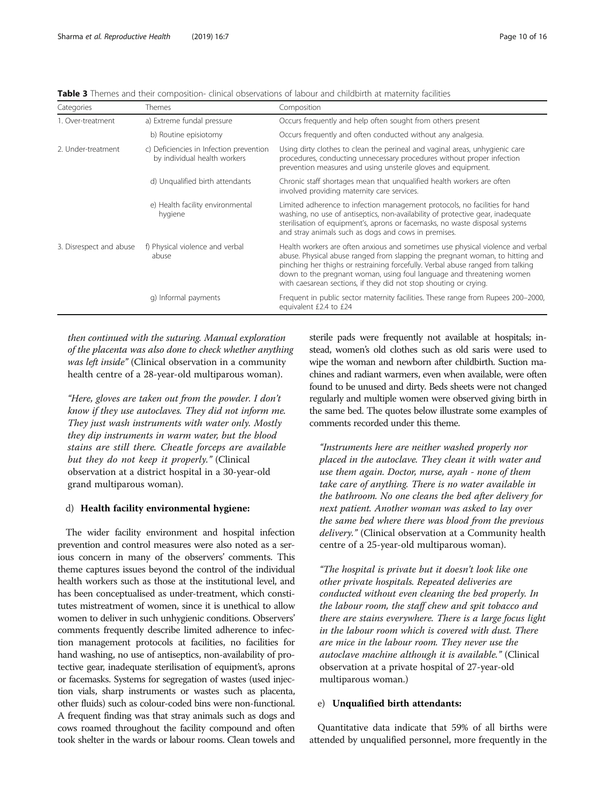| Categories              | <b>Themes</b>                                                           | Composition                                                                                                                                                                                                                                                                                                                                                                                       |
|-------------------------|-------------------------------------------------------------------------|---------------------------------------------------------------------------------------------------------------------------------------------------------------------------------------------------------------------------------------------------------------------------------------------------------------------------------------------------------------------------------------------------|
| 1. Over-treatment       | a) Extreme fundal pressure                                              | Occurs frequently and help often sought from others present                                                                                                                                                                                                                                                                                                                                       |
|                         | b) Routine episiotomy                                                   | Occurs frequently and often conducted without any analgesia.                                                                                                                                                                                                                                                                                                                                      |
| 2. Under-treatment      | c) Deficiencies in Infection prevention<br>by individual health workers | Using dirty clothes to clean the perineal and vaginal areas, unhygienic care<br>procedures, conducting unnecessary procedures without proper infection<br>prevention measures and using unsterile gloves and equipment.                                                                                                                                                                           |
|                         | d) Unqualified birth attendants                                         | Chronic staff shortages mean that unqualified health workers are often<br>involved providing maternity care services.                                                                                                                                                                                                                                                                             |
|                         | e) Health facility environmental<br>hygiene                             | Limited adherence to infection management protocols, no facilities for hand<br>washing, no use of antiseptics, non-availability of protective gear, inadequate<br>sterilisation of equipment's, aprons or facemasks, no waste disposal systems<br>and stray animals such as dogs and cows in premises.                                                                                            |
| 3. Disrespect and abuse | f) Physical violence and verbal<br>abuse                                | Health workers are often anxious and sometimes use physical violence and verbal<br>abuse. Physical abuse ranged from slapping the pregnant woman, to hitting and<br>pinching her thighs or restraining forcefully. Verbal abuse ranged from talking<br>down to the pregnant woman, using foul language and threatening women<br>with caesarean sections, if they did not stop shouting or crying. |
|                         | g) Informal payments                                                    | Frequent in public sector maternity facilities. These range from Rupees 200-2000,<br>equivalent £2.4 to £24                                                                                                                                                                                                                                                                                       |

<span id="page-9-0"></span>Table 3 Themes and their composition- clinical observations of labour and childbirth at maternity facilities

then continued with the suturing. Manual exploration of the placenta was also done to check whether anything was left inside" (Clinical observation in a community health centre of a 28-year-old multiparous woman).

"Here, gloves are taken out from the powder. I don't know if they use autoclaves. They did not inform me. They just wash instruments with water only. Mostly they dip instruments in warm water, but the blood stains are still there. Cheatle forceps are available but they do not keep it properly." (Clinical observation at a district hospital in a 30-year-old grand multiparous woman).

### d) Health facility environmental hygiene:

The wider facility environment and hospital infection prevention and control measures were also noted as a serious concern in many of the observers' comments. This theme captures issues beyond the control of the individual health workers such as those at the institutional level, and has been conceptualised as under-treatment, which constitutes mistreatment of women, since it is unethical to allow women to deliver in such unhygienic conditions. Observers' comments frequently describe limited adherence to infection management protocols at facilities, no facilities for hand washing, no use of antiseptics, non-availability of protective gear, inadequate sterilisation of equipment's, aprons or facemasks. Systems for segregation of wastes (used injection vials, sharp instruments or wastes such as placenta, other fluids) such as colour-coded bins were non-functional. A frequent finding was that stray animals such as dogs and cows roamed throughout the facility compound and often took shelter in the wards or labour rooms. Clean towels and sterile pads were frequently not available at hospitals; instead, women's old clothes such as old saris were used to wipe the woman and newborn after childbirth. Suction machines and radiant warmers, even when available, were often found to be unused and dirty. Beds sheets were not changed regularly and multiple women were observed giving birth in the same bed. The quotes below illustrate some examples of comments recorded under this theme.

"Instruments here are neither washed properly nor placed in the autoclave. They clean it with water and use them again. Doctor, nurse, ayah - none of them take care of anything. There is no water available in the bathroom. No one cleans the bed after delivery for next patient. Another woman was asked to lay over the same bed where there was blood from the previous delivery." (Clinical observation at a Community health centre of a 25-year-old multiparous woman).

"The hospital is private but it doesn't look like one other private hospitals. Repeated deliveries are conducted without even cleaning the bed properly. In the labour room, the staff chew and spit tobacco and there are stains everywhere. There is a large focus light in the labour room which is covered with dust. There are mice in the labour room. They never use the autoclave machine although it is available." (Clinical observation at a private hospital of 27-year-old multiparous woman.)

#### e) Unqualified birth attendants:

Quantitative data indicate that 59% of all births were attended by unqualified personnel, more frequently in the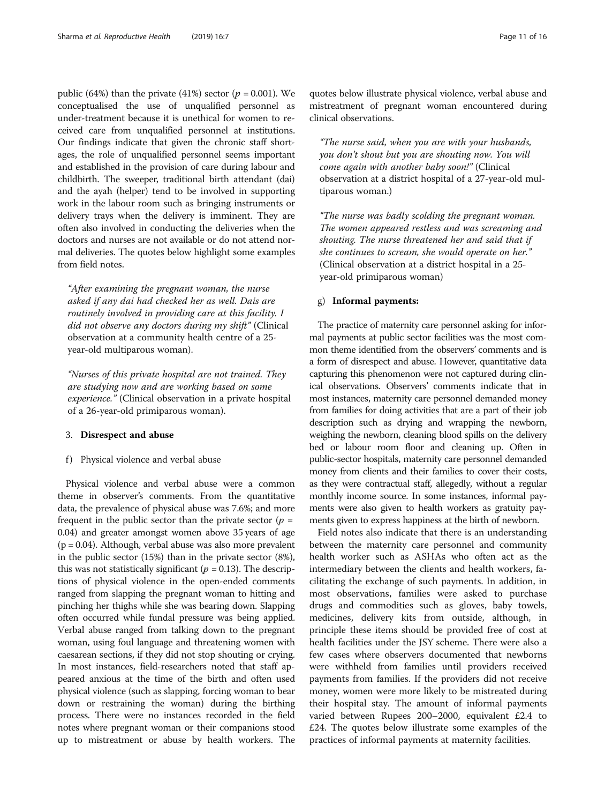public (64%) than the private (41%) sector ( $p = 0.001$ ). We conceptualised the use of unqualified personnel as under-treatment because it is unethical for women to received care from unqualified personnel at institutions. Our findings indicate that given the chronic staff shortages, the role of unqualified personnel seems important and established in the provision of care during labour and childbirth. The sweeper, traditional birth attendant (dai) and the ayah (helper) tend to be involved in supporting work in the labour room such as bringing instruments or delivery trays when the delivery is imminent. They are often also involved in conducting the deliveries when the doctors and nurses are not available or do not attend normal deliveries. The quotes below highlight some examples from field notes.

"After examining the pregnant woman, the nurse asked if any dai had checked her as well. Dais are routinely involved in providing care at this facility. I did not observe any doctors during my shift" (Clinical observation at a community health centre of a 25 year-old multiparous woman).

"Nurses of this private hospital are not trained. They are studying now and are working based on some experience." (Clinical observation in a private hospital of a 26-year-old primiparous woman).

#### 3. Disrespect and abuse

#### f) Physical violence and verbal abuse

Physical violence and verbal abuse were a common theme in observer's comments. From the quantitative data, the prevalence of physical abuse was 7.6%; and more frequent in the public sector than the private sector  $(p =$ 0.04) and greater amongst women above 35 years of age  $(p = 0.04)$ . Although, verbal abuse was also more prevalent in the public sector (15%) than in the private sector (8%), this was not statistically significant ( $p = 0.13$ ). The descriptions of physical violence in the open-ended comments ranged from slapping the pregnant woman to hitting and pinching her thighs while she was bearing down. Slapping often occurred while fundal pressure was being applied. Verbal abuse ranged from talking down to the pregnant woman, using foul language and threatening women with caesarean sections, if they did not stop shouting or crying. In most instances, field-researchers noted that staff appeared anxious at the time of the birth and often used physical violence (such as slapping, forcing woman to bear down or restraining the woman) during the birthing process. There were no instances recorded in the field notes where pregnant woman or their companions stood up to mistreatment or abuse by health workers. The quotes below illustrate physical violence, verbal abuse and mistreatment of pregnant woman encountered during clinical observations.

"The nurse said, when you are with your husbands, you don't shout but you are shouting now. You will come again with another baby soon!" (Clinical observation at a district hospital of a 27-year-old multiparous woman.)

"The nurse was badly scolding the pregnant woman. The women appeared restless and was screaming and shouting. The nurse threatened her and said that if she continues to scream, she would operate on her." (Clinical observation at a district hospital in a 25 year-old primiparous woman)

#### g) Informal payments:

The practice of maternity care personnel asking for informal payments at public sector facilities was the most common theme identified from the observers' comments and is a form of disrespect and abuse. However, quantitative data capturing this phenomenon were not captured during clinical observations. Observers' comments indicate that in most instances, maternity care personnel demanded money from families for doing activities that are a part of their job description such as drying and wrapping the newborn, weighing the newborn, cleaning blood spills on the delivery bed or labour room floor and cleaning up. Often in public-sector hospitals, maternity care personnel demanded money from clients and their families to cover their costs, as they were contractual staff, allegedly, without a regular monthly income source. In some instances, informal payments were also given to health workers as gratuity payments given to express happiness at the birth of newborn.

Field notes also indicate that there is an understanding between the maternity care personnel and community health worker such as ASHAs who often act as the intermediary between the clients and health workers, facilitating the exchange of such payments. In addition, in most observations, families were asked to purchase drugs and commodities such as gloves, baby towels, medicines, delivery kits from outside, although, in principle these items should be provided free of cost at health facilities under the JSY scheme. There were also a few cases where observers documented that newborns were withheld from families until providers received payments from families. If the providers did not receive money, women were more likely to be mistreated during their hospital stay. The amount of informal payments varied between Rupees 200–2000, equivalent £2.4 to £24. The quotes below illustrate some examples of the practices of informal payments at maternity facilities.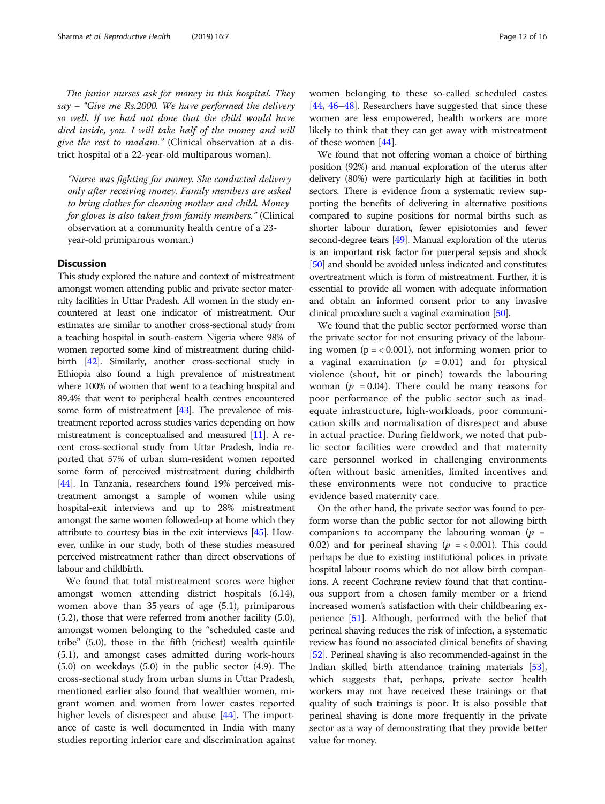The junior nurses ask for money in this hospital. They  $say - "Give me Rs. 2000. We have performed the delivery$ so well. If we had not done that the child would have died inside, you. I will take half of the money and will give the rest to madam." (Clinical observation at a district hospital of a 22-year-old multiparous woman).

"Nurse was fighting for money. She conducted delivery only after receiving money. Family members are asked to bring clothes for cleaning mother and child. Money for gloves is also taken from family members." (Clinical observation at a community health centre of a 23 year-old primiparous woman.)

## **Discussion**

This study explored the nature and context of mistreatment amongst women attending public and private sector maternity facilities in Uttar Pradesh. All women in the study encountered at least one indicator of mistreatment. Our estimates are similar to another cross-sectional study from a teaching hospital in south-eastern Nigeria where 98% of women reported some kind of mistreatment during childbirth [\[42\]](#page-15-0). Similarly, another cross-sectional study in Ethiopia also found a high prevalence of mistreatment where 100% of women that went to a teaching hospital and 89.4% that went to peripheral health centres encountered some form of mistreatment [[43\]](#page-15-0). The prevalence of mistreatment reported across studies varies depending on how mistreatment is conceptualised and measured [[11\]](#page-14-0). A recent cross-sectional study from Uttar Pradesh, India reported that 57% of urban slum-resident women reported some form of perceived mistreatment during childbirth [[44](#page-15-0)]. In Tanzania, researchers found 19% perceived mistreatment amongst a sample of women while using hospital-exit interviews and up to 28% mistreatment amongst the same women followed-up at home which they attribute to courtesy bias in the exit interviews [\[45\]](#page-15-0). However, unlike in our study, both of these studies measured perceived mistreatment rather than direct observations of labour and childbirth.

We found that total mistreatment scores were higher amongst women attending district hospitals (6.14), women above than 35 years of age (5.1), primiparous (5.2), those that were referred from another facility (5.0), amongst women belonging to the "scheduled caste and tribe" (5.0), those in the fifth (richest) wealth quintile (5.1), and amongst cases admitted during work-hours (5.0) on weekdays (5.0) in the public sector (4.9). The cross-sectional study from urban slums in Uttar Pradesh, mentioned earlier also found that wealthier women, migrant women and women from lower castes reported higher levels of disrespect and abuse [[44](#page-15-0)]. The importance of caste is well documented in India with many studies reporting inferior care and discrimination against women belonging to these so-called scheduled castes [[44,](#page-15-0) [46](#page-15-0)–[48\]](#page-15-0). Researchers have suggested that since these women are less empowered, health workers are more likely to think that they can get away with mistreatment of these women [[44\]](#page-15-0).

We found that not offering woman a choice of birthing position (92%) and manual exploration of the uterus after delivery (80%) were particularly high at facilities in both sectors. There is evidence from a systematic review supporting the benefits of delivering in alternative positions compared to supine positions for normal births such as shorter labour duration, fewer episiotomies and fewer second-degree tears [\[49](#page-15-0)]. Manual exploration of the uterus is an important risk factor for puerperal sepsis and shock [[50](#page-15-0)] and should be avoided unless indicated and constitutes overtreatment which is form of mistreatment. Further, it is essential to provide all women with adequate information and obtain an informed consent prior to any invasive clinical procedure such a vaginal examination [\[50\]](#page-15-0).

We found that the public sector performed worse than the private sector for not ensuring privacy of the labouring women ( $p = < 0.001$ ), not informing women prior to a vaginal examination ( $p = 0.01$ ) and for physical violence (shout, hit or pinch) towards the labouring woman ( $p = 0.04$ ). There could be many reasons for poor performance of the public sector such as inadequate infrastructure, high-workloads, poor communication skills and normalisation of disrespect and abuse in actual practice. During fieldwork, we noted that public sector facilities were crowded and that maternity care personnel worked in challenging environments often without basic amenities, limited incentives and these environments were not conducive to practice evidence based maternity care.

On the other hand, the private sector was found to perform worse than the public sector for not allowing birth companions to accompany the labouring woman ( $p =$ 0.02) and for perineal shaving ( $p = < 0.001$ ). This could perhaps be due to existing institutional polices in private hospital labour rooms which do not allow birth companions. A recent Cochrane review found that that continuous support from a chosen family member or a friend increased women's satisfaction with their childbearing experience [\[51\]](#page-15-0). Although, performed with the belief that perineal shaving reduces the risk of infection, a systematic review has found no associated clinical benefits of shaving [[52](#page-15-0)]. Perineal shaving is also recommended-against in the Indian skilled birth attendance training materials [[53](#page-15-0)], which suggests that, perhaps, private sector health workers may not have received these trainings or that quality of such trainings is poor. It is also possible that perineal shaving is done more frequently in the private sector as a way of demonstrating that they provide better value for money.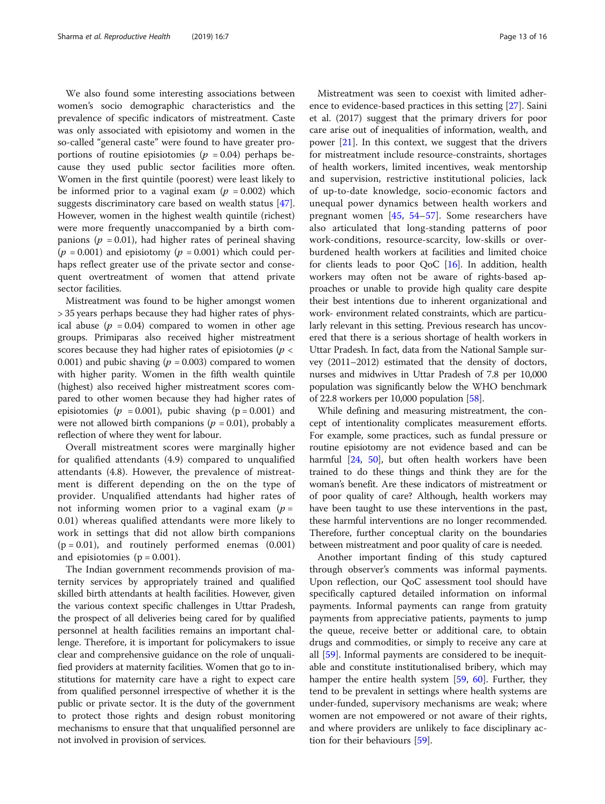We also found some interesting associations between women's socio demographic characteristics and the prevalence of specific indicators of mistreatment. Caste was only associated with episiotomy and women in the so-called "general caste" were found to have greater proportions of routine episiotomies ( $p = 0.04$ ) perhaps because they used public sector facilities more often. Women in the first quintile (poorest) were least likely to be informed prior to a vaginal exam ( $p = 0.002$ ) which suggests discriminatory care based on wealth status [\[47](#page-15-0)]. However, women in the highest wealth quintile (richest) were more frequently unaccompanied by a birth companions ( $p = 0.01$ ), had higher rates of perineal shaving  $(p = 0.001)$  and episiotomy  $(p = 0.001)$  which could perhaps reflect greater use of the private sector and consequent overtreatment of women that attend private sector facilities.

Mistreatment was found to be higher amongst women > 35 years perhaps because they had higher rates of physical abuse ( $p = 0.04$ ) compared to women in other age groups. Primiparas also received higher mistreatment scores because they had higher rates of episiotomies ( $p <$ 0.001) and pubic shaving ( $p = 0.003$ ) compared to women with higher parity. Women in the fifth wealth quintile (highest) also received higher mistreatment scores compared to other women because they had higher rates of episiotomies ( $p = 0.001$ ), pubic shaving ( $p = 0.001$ ) and were not allowed birth companions ( $p = 0.01$ ), probably a reflection of where they went for labour.

Overall mistreatment scores were marginally higher for qualified attendants (4.9) compared to unqualified attendants (4.8). However, the prevalence of mistreatment is different depending on the on the type of provider. Unqualified attendants had higher rates of not informing women prior to a vaginal exam  $(p =$ 0.01) whereas qualified attendants were more likely to work in settings that did not allow birth companions  $(p = 0.01)$ , and routinely performed enemas  $(0.001)$ and episiotomies ( $p = 0.001$ ).

The Indian government recommends provision of maternity services by appropriately trained and qualified skilled birth attendants at health facilities. However, given the various context specific challenges in Uttar Pradesh, the prospect of all deliveries being cared for by qualified personnel at health facilities remains an important challenge. Therefore, it is important for policymakers to issue clear and comprehensive guidance on the role of unqualified providers at maternity facilities. Women that go to institutions for maternity care have a right to expect care from qualified personnel irrespective of whether it is the public or private sector. It is the duty of the government to protect those rights and design robust monitoring mechanisms to ensure that that unqualified personnel are not involved in provision of services.

Mistreatment was seen to coexist with limited adherence to evidence-based practices in this setting [[27\]](#page-15-0). Saini et al. (2017) suggest that the primary drivers for poor care arise out of inequalities of information, wealth, and power [\[21\]](#page-14-0). In this context, we suggest that the drivers for mistreatment include resource-constraints, shortages of health workers, limited incentives, weak mentorship and supervision, restrictive institutional policies, lack of up-to-date knowledge, socio-economic factors and unequal power dynamics between health workers and pregnant women [[45,](#page-15-0) [54](#page-15-0)–[57](#page-15-0)]. Some researchers have also articulated that long-standing patterns of poor work-conditions, resource-scarcity, low-skills or overburdened health workers at facilities and limited choice for clients leads to poor QoC [[16](#page-14-0)]. In addition, health workers may often not be aware of rights-based approaches or unable to provide high quality care despite their best intentions due to inherent organizational and work- environment related constraints, which are particularly relevant in this setting. Previous research has uncovered that there is a serious shortage of health workers in Uttar Pradesh. In fact, data from the National Sample survey (2011–2012) estimated that the density of doctors, nurses and midwives in Uttar Pradesh of 7.8 per 10,000 population was significantly below the WHO benchmark of 22.8 workers per 10,000 population [\[58\]](#page-15-0).

While defining and measuring mistreatment, the concept of intentionality complicates measurement efforts. For example, some practices, such as fundal pressure or routine episiotomy are not evidence based and can be harmful [\[24,](#page-14-0) [50](#page-15-0)], but often health workers have been trained to do these things and think they are for the woman's benefit. Are these indicators of mistreatment or of poor quality of care? Although, health workers may have been taught to use these interventions in the past, these harmful interventions are no longer recommended. Therefore, further conceptual clarity on the boundaries between mistreatment and poor quality of care is needed.

Another important finding of this study captured through observer's comments was informal payments. Upon reflection, our QoC assessment tool should have specifically captured detailed information on informal payments. Informal payments can range from gratuity payments from appreciative patients, payments to jump the queue, receive better or additional care, to obtain drugs and commodities, or simply to receive any care at all [[59](#page-15-0)]. Informal payments are considered to be inequitable and constitute institutionalised bribery, which may hamper the entire health system [\[59](#page-15-0), [60](#page-15-0)]. Further, they tend to be prevalent in settings where health systems are under-funded, supervisory mechanisms are weak; where women are not empowered or not aware of their rights, and where providers are unlikely to face disciplinary action for their behaviours [[59\]](#page-15-0).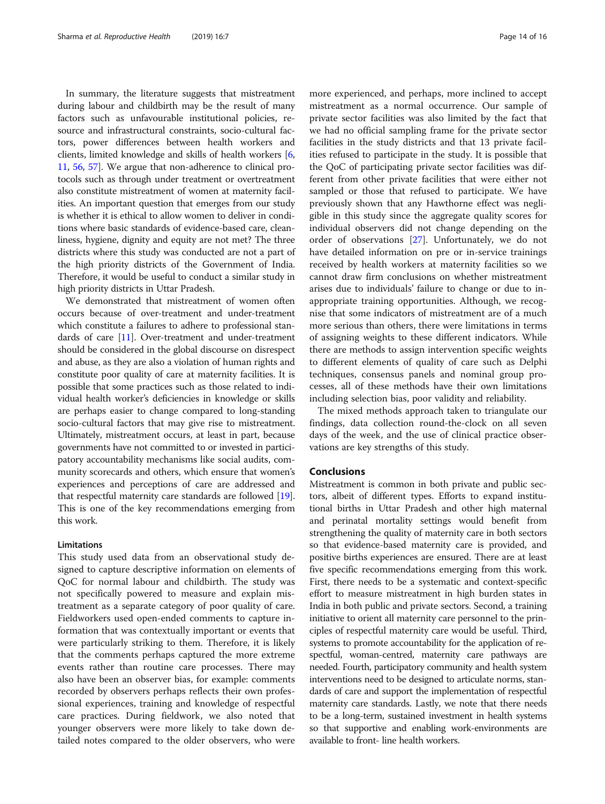In summary, the literature suggests that mistreatment during labour and childbirth may be the result of many factors such as unfavourable institutional policies, resource and infrastructural constraints, socio-cultural factors, power differences between health workers and clients, limited knowledge and skills of health workers [[6](#page-14-0), [11](#page-14-0), [56](#page-15-0), [57](#page-15-0)]. We argue that non-adherence to clinical protocols such as through under treatment or overtreatment also constitute mistreatment of women at maternity facilities. An important question that emerges from our study is whether it is ethical to allow women to deliver in conditions where basic standards of evidence-based care, cleanliness, hygiene, dignity and equity are not met? The three districts where this study was conducted are not a part of the high priority districts of the Government of India. Therefore, it would be useful to conduct a similar study in high priority districts in Uttar Pradesh.

We demonstrated that mistreatment of women often occurs because of over-treatment and under-treatment which constitute a failures to adhere to professional standards of care [\[11\]](#page-14-0). Over-treatment and under-treatment should be considered in the global discourse on disrespect and abuse, as they are also a violation of human rights and constitute poor quality of care at maternity facilities. It is possible that some practices such as those related to individual health worker's deficiencies in knowledge or skills are perhaps easier to change compared to long-standing socio-cultural factors that may give rise to mistreatment. Ultimately, mistreatment occurs, at least in part, because governments have not committed to or invested in participatory accountability mechanisms like social audits, community scorecards and others, which ensure that women's experiences and perceptions of care are addressed and that respectful maternity care standards are followed [[19](#page-14-0)]. This is one of the key recommendations emerging from this work.

## Limitations

This study used data from an observational study designed to capture descriptive information on elements of QoC for normal labour and childbirth. The study was not specifically powered to measure and explain mistreatment as a separate category of poor quality of care. Fieldworkers used open-ended comments to capture information that was contextually important or events that were particularly striking to them. Therefore, it is likely that the comments perhaps captured the more extreme events rather than routine care processes. There may also have been an observer bias, for example: comments recorded by observers perhaps reflects their own professional experiences, training and knowledge of respectful care practices. During fieldwork, we also noted that younger observers were more likely to take down detailed notes compared to the older observers, who were

more experienced, and perhaps, more inclined to accept mistreatment as a normal occurrence. Our sample of private sector facilities was also limited by the fact that we had no official sampling frame for the private sector facilities in the study districts and that 13 private facilities refused to participate in the study. It is possible that the QoC of participating private sector facilities was different from other private facilities that were either not sampled or those that refused to participate. We have previously shown that any Hawthorne effect was negligible in this study since the aggregate quality scores for individual observers did not change depending on the order of observations [\[27](#page-15-0)]. Unfortunately, we do not have detailed information on pre or in-service trainings received by health workers at maternity facilities so we cannot draw firm conclusions on whether mistreatment arises due to individuals' failure to change or due to inappropriate training opportunities. Although, we recognise that some indicators of mistreatment are of a much more serious than others, there were limitations in terms of assigning weights to these different indicators. While there are methods to assign intervention specific weights to different elements of quality of care such as Delphi techniques, consensus panels and nominal group processes, all of these methods have their own limitations including selection bias, poor validity and reliability.

The mixed methods approach taken to triangulate our findings, data collection round-the-clock on all seven days of the week, and the use of clinical practice observations are key strengths of this study.

## Conclusions

Mistreatment is common in both private and public sectors, albeit of different types. Efforts to expand institutional births in Uttar Pradesh and other high maternal and perinatal mortality settings would benefit from strengthening the quality of maternity care in both sectors so that evidence-based maternity care is provided, and positive births experiences are ensured. There are at least five specific recommendations emerging from this work. First, there needs to be a systematic and context-specific effort to measure mistreatment in high burden states in India in both public and private sectors. Second, a training initiative to orient all maternity care personnel to the principles of respectful maternity care would be useful. Third, systems to promote accountability for the application of respectful, woman-centred, maternity care pathways are needed. Fourth, participatory community and health system interventions need to be designed to articulate norms, standards of care and support the implementation of respectful maternity care standards. Lastly, we note that there needs to be a long-term, sustained investment in health systems so that supportive and enabling work-environments are available to front- line health workers.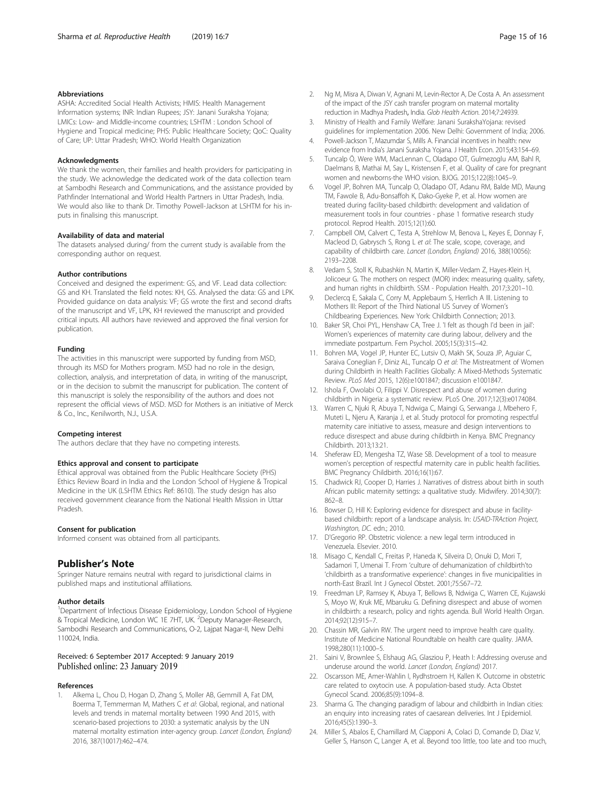#### <span id="page-14-0"></span>Abbreviations

ASHA: Accredited Social Health Activists; HMIS: Health Management Information systems; INR: Indian Rupees; JSY: Janani Suraksha Yojana; LMICs: Low- and Middle-income countries; LSHTM : London School of Hygiene and Tropical medicine; PHS: Public Healthcare Society; QoC: Quality of Care; UP: Uttar Pradesh; WHO: World Health Organization

#### Acknowledgments

We thank the women, their families and health providers for participating in the study. We acknowledge the dedicated work of the data collection team at Sambodhi Research and Communications, and the assistance provided by Pathfinder International and World Health Partners in Uttar Pradesh, India. We would also like to thank Dr. Timothy Powell-Jackson at LSHTM for his inputs in finalising this manuscript.

#### Availability of data and material

The datasets analysed during/ from the current study is available from the corresponding author on request.

#### Author contributions

Conceived and designed the experiment: GS, and VF. Lead data collection: GS and KH. Translated the field notes: KH, GS. Analysed the data: GS and LPK. Provided guidance on data analysis: VF; GS wrote the first and second drafts of the manuscript and VF, LPK, KH reviewed the manuscript and provided critical inputs. All authors have reviewed and approved the final version for publication.

#### Funding

The activities in this manuscript were supported by funding from MSD, through its MSD for Mothers program. MSD had no role in the design, collection, analysis, and interpretation of data, in writing of the manuscript, or in the decision to submit the manuscript for publication. The content of this manuscript is solely the responsibility of the authors and does not represent the official views of MSD. MSD for Mothers is an initiative of Merck & Co., Inc., Kenilworth, N.J., U.S.A.

#### Competing interest

The authors declare that they have no competing interests.

#### Ethics approval and consent to participate

Ethical approval was obtained from the Public Healthcare Society (PHS) Ethics Review Board in India and the London School of Hygiene & Tropical Medicine in the UK (LSHTM Ethics Ref: 8610). The study design has also received government clearance from the National Health Mission in Uttar Pradesh.

#### Consent for publication

Informed consent was obtained from all participants.

#### Publisher's Note

Springer Nature remains neutral with regard to jurisdictional claims in published maps and institutional affiliations.

#### Author details

<sup>1</sup>Department of Infectious Disease Epidemiology, London School of Hygiene & Tropical Medicine, London WC 1E 7HT, UK. <sup>2</sup> Deputy Manager-Research, Sambodhi Research and Communications, O-2, Lajpat Nagar-II, New Delhi 110024, India.

#### Received: 6 September 2017 Accepted: 9 January 2019 Published online: 23 January 2019

#### References

Alkema L, Chou D, Hogan D, Zhang S, Moller AB, Gemmill A, Fat DM, Boerma T, Temmerman M, Mathers C et al: Global, regional, and national levels and trends in maternal mortality between 1990 And 2015, with scenario-based projections to 2030: a systematic analysis by the UN maternal mortality estimation inter-agency group. Lancet (London, England) 2016, 387(10017):462–474.

- 2. Ng M, Misra A, Diwan V, Agnani M, Levin-Rector A, De Costa A. An assessment of the impact of the JSY cash transfer program on maternal mortality reduction in Madhya Pradesh, India. Glob Health Action. 2014;7:24939.
- 3. Ministry of Health and Family Welfare: Janani SurakshaYojana: revised guidelines for implementation 2006. New Delhi: Government of India; 2006.
- 4. Powell-Jackson T, Mazumdar S, Mills A. Financial incentives in health: new evidence from India's Janani Suraksha Yojana. J Health Econ. 2015;43:154–69.
- 5. Tuncalp Ö, Were WM, MacLennan C, Oladapo OT, Gulmezoglu AM, Bahl R, Daelmans B, Mathai M, Say L, Kristensen F, et al. Quality of care for pregnant women and newborns-the WHO vision. BJOG. 2015;122(8):1045–9.
- Vogel JP, Bohren MA, Tuncalp O, Oladapo OT, Adanu RM, Balde MD, Maung TM, Fawole B, Adu-Bonsaffoh K, Dako-Gyeke P, et al. How women are treated during facility-based childbirth: development and validation of measurement tools in four countries - phase 1 formative research study protocol. Reprod Health. 2015;12(1):60.
- Campbell OM, Calvert C, Testa A, Strehlow M, Benova L, Keyes E, Donnay F, Macleod D, Gabrysch S, Rong L et al: The scale, scope, coverage, and capability of childbirth care. Lancet (London, England) 2016, 388(10056): 2193–2208.
- 8. Vedam S, Stoll K, Rubashkin N, Martin K, Miller-Vedam Z, Hayes-Klein H, Jolicoeur G. The mothers on respect (MOR) index: measuring quality, safety, and human rights in childbirth. SSM - Population Health. 2017;3:201–10.
- 9. Declercq E, Sakala C, Corry M, Applebaum S, Herrlich A III. Listening to Mothers III: Report of the Third National US Survey of Women's Childbearing Experiences. New York: Childbirth Connection; 2013.
- 10. Baker SR, Choi PYL, Henshaw CA, Tree J. 'I felt as though I'd been in jail': Women's experiences of maternity care during labour, delivery and the immediate postpartum. Fem Psychol. 2005;15(3):315–42.
- 11. Bohren MA, Vogel JP, Hunter EC, Lutsiv O, Makh SK, Souza JP, Aguiar C, Saraiva Coneglian F, Diniz AL, Tuncalp O et al: The Mistreatment of Women during Childbirth in Health Facilities Globally: A Mixed-Methods Systematic Review. PLoS Med 2015, 12(6):e1001847; discussion e1001847.
- 12. Ishola F, Owolabi O, Filippi V. Disrespect and abuse of women during childbirth in Nigeria: a systematic review. PLoS One. 2017;12(3):e0174084.
- 13. Warren C, Njuki R, Abuya T, Ndwiga C, Maingi G, Serwanga J, Mbehero F, Muteti L, Njeru A, Karanja J, et al. Study protocol for promoting respectful maternity care initiative to assess, measure and design interventions to reduce disrespect and abuse during childbirth in Kenya. BMC Pregnancy Childbirth. 2013;13:21.
- 14. Sheferaw ED, Mengesha TZ, Wase SB. Development of a tool to measure women's perception of respectful maternity care in public health facilities. BMC Pregnancy Childbirth. 2016;16(1):67.
- 15. Chadwick RJ, Cooper D, Harries J. Narratives of distress about birth in south African public maternity settings: a qualitative study. Midwifery. 2014;30(7): 862–8.
- 16. Bowser D, Hill K: Exploring evidence for disrespect and abuse in facilitybased childbirth: report of a landscape analysis. In: USAID-TRAction Project, Washington, DC. edn.; 2010.
- 17. D'Gregorio RP. Obstetric violence: a new legal term introduced in Venezuela. Elsevier. 2010.
- 18. Misago C, Kendall C, Freitas P, Haneda K, Silveira D, Onuki D, Mori T, Sadamori T, Umenai T. From 'culture of dehumanization of childbirth'to 'childbirth as a transformative experience': changes in five municipalities in north-East Brazil. Int J Gynecol Obstet. 2001;75:S67–72.
- 19. Freedman LP, Ramsey K, Abuya T, Bellows B, Ndwiga C, Warren CE, Kujawski S, Moyo W, Kruk ME, Mbaruku G. Defining disrespect and abuse of women in childbirth: a research, policy and rights agenda. Bull World Health Organ. 2014;92(12):915–7.
- 20. Chassin MR, Galvin RW. The urgent need to improve health care quality. Institute of Medicine National Roundtable on health care quality. JAMA. 1998;280(11):1000–5.
- 21. Saini V, Brownlee S, Elshaug AG, Glasziou P, Heath I: Addressing overuse and underuse around the world. Lancet (London, England) 2017.
- 22. Oscarsson ME, Amer-Wahlin I, Rydhstroem H, Kallen K. Outcome in obstetric care related to oxytocin use. A population-based study. Acta Obstet Gynecol Scand. 2006;85(9):1094–8.
- 23. Sharma G. The changing paradigm of labour and childbirth in Indian cities: an enquiry into increasing rates of caesarean deliveries. Int J Epidemiol. 2016;45(5):1390–3.
- 24. Miller S, Abalos E, Chamillard M, Ciapponi A, Colaci D, Comande D, Diaz V, Geller S, Hanson C, Langer A, et al. Beyond too little, too late and too much,